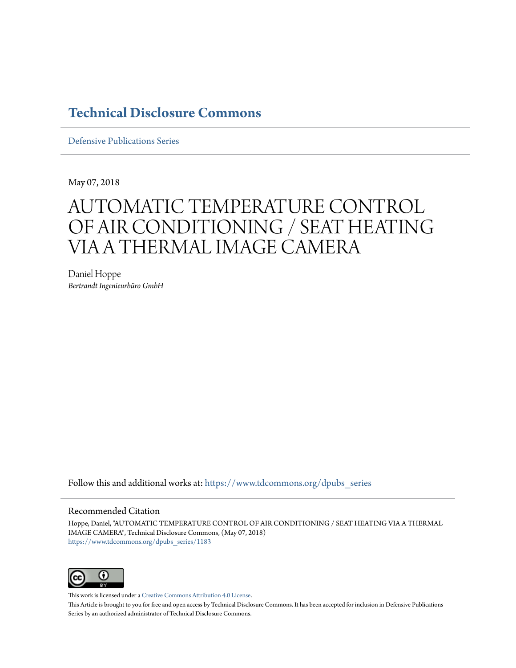## **[Technical Disclosure Commons](https://www.tdcommons.org?utm_source=www.tdcommons.org%2Fdpubs_series%2F1183&utm_medium=PDF&utm_campaign=PDFCoverPages)**

[Defensive Publications Series](https://www.tdcommons.org/dpubs_series?utm_source=www.tdcommons.org%2Fdpubs_series%2F1183&utm_medium=PDF&utm_campaign=PDFCoverPages)

May 07, 2018

# AUTOMATIC TEMPERATURE CONTROL OF AIR CONDITIONING / SEAT HEATING VIA A THERMAL IMAGE CAMERA

Daniel Hoppe *Bertrandt Ingenieurbüro GmbH*

Follow this and additional works at: [https://www.tdcommons.org/dpubs\\_series](https://www.tdcommons.org/dpubs_series?utm_source=www.tdcommons.org%2Fdpubs_series%2F1183&utm_medium=PDF&utm_campaign=PDFCoverPages)

### Recommended Citation

Hoppe, Daniel, "AUTOMATIC TEMPERATURE CONTROL OF AIR CONDITIONING / SEAT HEATING VIA A THERMAL IMAGE CAMERA", Technical Disclosure Commons, (May 07, 2018) [https://www.tdcommons.org/dpubs\\_series/1183](https://www.tdcommons.org/dpubs_series/1183?utm_source=www.tdcommons.org%2Fdpubs_series%2F1183&utm_medium=PDF&utm_campaign=PDFCoverPages)



This work is licensed under a [Creative Commons Attribution 4.0 License.](http://creativecommons.org/licenses/by/4.0/deed.en_US)

This Article is brought to you for free and open access by Technical Disclosure Commons. It has been accepted for inclusion in Defensive Publications Series by an authorized administrator of Technical Disclosure Commons.